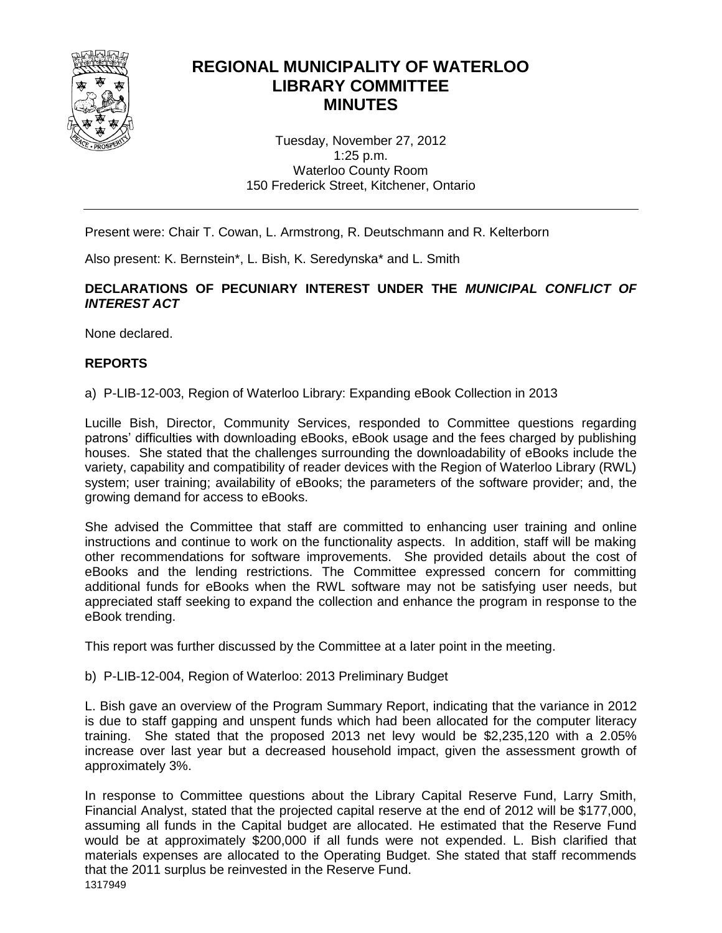

# **REGIONAL MUNICIPALITY OF WATERLOO LIBRARY COMMITTEE MINUTES**

Tuesday, November 27, 2012 1:25 p.m. Waterloo County Room 150 Frederick Street, Kitchener, Ontario

Present were: Chair T. Cowan, L. Armstrong, R. Deutschmann and R. Kelterborn

Also present: K. Bernstein\*, L. Bish, K. Seredynska\* and L. Smith

## **DECLARATIONS OF PECUNIARY INTEREST UNDER THE** *MUNICIPAL CONFLICT OF INTEREST ACT*

None declared.

# **REPORTS**

a) P-LIB-12-003, Region of Waterloo Library: Expanding eBook Collection in 2013

Lucille Bish, Director, Community Services, responded to Committee questions regarding patrons' difficulties with downloading eBooks, eBook usage and the fees charged by publishing houses. She stated that the challenges surrounding the downloadability of eBooks include the variety, capability and compatibility of reader devices with the Region of Waterloo Library (RWL) system; user training; availability of eBooks; the parameters of the software provider; and, the growing demand for access to eBooks.

She advised the Committee that staff are committed to enhancing user training and online instructions and continue to work on the functionality aspects. In addition, staff will be making other recommendations for software improvements. She provided details about the cost of eBooks and the lending restrictions. The Committee expressed concern for committing additional funds for eBooks when the RWL software may not be satisfying user needs, but appreciated staff seeking to expand the collection and enhance the program in response to the eBook trending.

This report was further discussed by the Committee at a later point in the meeting.

b) P-LIB-12-004, Region of Waterloo: 2013 Preliminary Budget

L. Bish gave an overview of the Program Summary Report, indicating that the variance in 2012 is due to staff gapping and unspent funds which had been allocated for the computer literacy training. She stated that the proposed 2013 net levy would be \$2,235,120 with a 2.05% increase over last year but a decreased household impact, given the assessment growth of approximately 3%.

In response to Committee questions about the Library Capital Reserve Fund, Larry Smith, Financial Analyst, stated that the projected capital reserve at the end of 2012 will be \$177,000, assuming all funds in the Capital budget are allocated. He estimated that the Reserve Fund would be at approximately \$200,000 if all funds were not expended. L. Bish clarified that materials expenses are allocated to the Operating Budget. She stated that staff recommends that the 2011 surplus be reinvested in the Reserve Fund.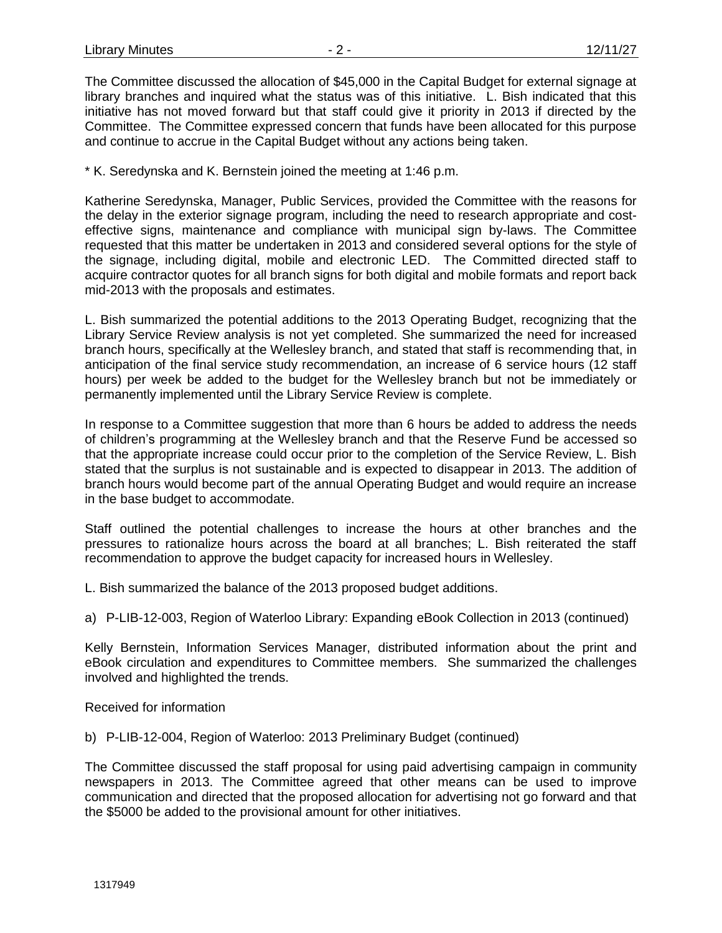The Committee discussed the allocation of \$45,000 in the Capital Budget for external signage at library branches and inquired what the status was of this initiative. L. Bish indicated that this initiative has not moved forward but that staff could give it priority in 2013 if directed by the Committee. The Committee expressed concern that funds have been allocated for this purpose and continue to accrue in the Capital Budget without any actions being taken.

\* K. Seredynska and K. Bernstein joined the meeting at 1:46 p.m.

Katherine Seredynska, Manager, Public Services, provided the Committee with the reasons for the delay in the exterior signage program, including the need to research appropriate and costeffective signs, maintenance and compliance with municipal sign by-laws. The Committee requested that this matter be undertaken in 2013 and considered several options for the style of the signage, including digital, mobile and electronic LED. The Committed directed staff to acquire contractor quotes for all branch signs for both digital and mobile formats and report back mid-2013 with the proposals and estimates.

L. Bish summarized the potential additions to the 2013 Operating Budget, recognizing that the Library Service Review analysis is not yet completed. She summarized the need for increased branch hours, specifically at the Wellesley branch, and stated that staff is recommending that, in anticipation of the final service study recommendation, an increase of 6 service hours (12 staff hours) per week be added to the budget for the Wellesley branch but not be immediately or permanently implemented until the Library Service Review is complete.

In response to a Committee suggestion that more than 6 hours be added to address the needs of children's programming at the Wellesley branch and that the Reserve Fund be accessed so that the appropriate increase could occur prior to the completion of the Service Review, L. Bish stated that the surplus is not sustainable and is expected to disappear in 2013. The addition of branch hours would become part of the annual Operating Budget and would require an increase in the base budget to accommodate.

Staff outlined the potential challenges to increase the hours at other branches and the pressures to rationalize hours across the board at all branches; L. Bish reiterated the staff recommendation to approve the budget capacity for increased hours in Wellesley.

L. Bish summarized the balance of the 2013 proposed budget additions.

a) P-LIB-12-003, Region of Waterloo Library: Expanding eBook Collection in 2013 (continued)

Kelly Bernstein, Information Services Manager, distributed information about the print and eBook circulation and expenditures to Committee members. She summarized the challenges involved and highlighted the trends.

Received for information

b) P-LIB-12-004, Region of Waterloo: 2013 Preliminary Budget (continued)

The Committee discussed the staff proposal for using paid advertising campaign in community newspapers in 2013. The Committee agreed that other means can be used to improve communication and directed that the proposed allocation for advertising not go forward and that the \$5000 be added to the provisional amount for other initiatives.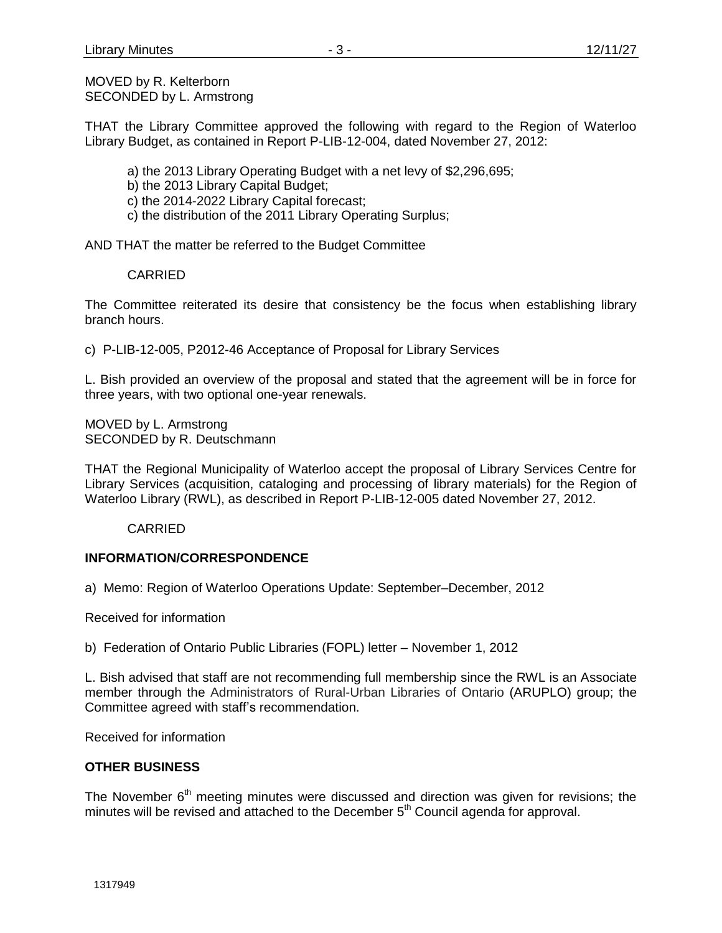MOVED by R. Kelterborn SECONDED by L. Armstrong

THAT the Library Committee approved the following with regard to the Region of Waterloo Library Budget, as contained in Report P-LIB-12-004, dated November 27, 2012:

- a) the 2013 Library Operating Budget with a net levy of \$2,296,695;
- b) the 2013 Library Capital Budget;
- c) the 2014-2022 Library Capital forecast;
- c) the distribution of the 2011 Library Operating Surplus;

AND THAT the matter be referred to the Budget Committee

#### CARRIED

The Committee reiterated its desire that consistency be the focus when establishing library branch hours.

c) P-LIB-12-005, P2012-46 Acceptance of Proposal for Library Services

L. Bish provided an overview of the proposal and stated that the agreement will be in force for three years, with two optional one-year renewals.

MOVED by L. Armstrong SECONDED by R. Deutschmann

THAT the Regional Municipality of Waterloo accept the proposal of Library Services Centre for Library Services (acquisition, cataloging and processing of library materials) for the Region of Waterloo Library (RWL), as described in Report P-LIB-12-005 dated November 27, 2012.

**CARRIED** 

# **INFORMATION/CORRESPONDENCE**

a) Memo: Region of Waterloo Operations Update: September–December, 2012

Received for information

b) Federation of Ontario Public Libraries (FOPL) letter – November 1, 2012

L. Bish advised that staff are not recommending full membership since the RWL is an Associate member through the Administrators of Rural-Urban Libraries of Ontario (ARUPLO) group; the Committee agreed with staff's recommendation.

Received for information

#### **OTHER BUSINESS**

The November  $6<sup>th</sup>$  meeting minutes were discussed and direction was given for revisions; the minutes will be revised and attached to the December  $5<sup>th</sup>$  Council agenda for approval.